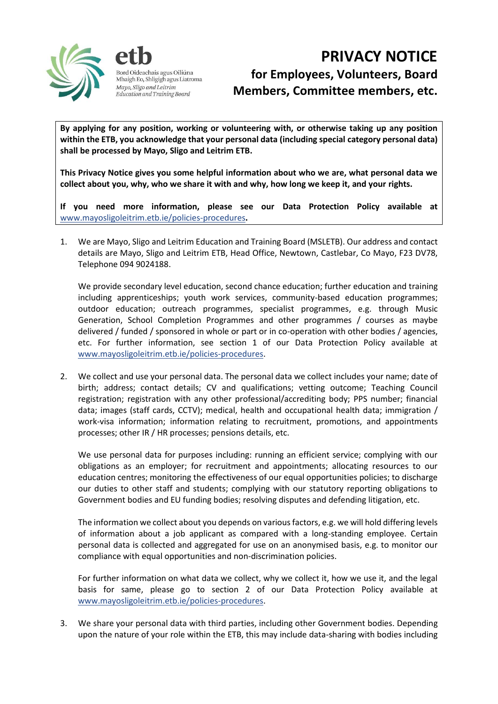

deachais agus Oiliúna Mhaigh Eo, Shligigh agus Liatroma Mayo, Sligo and Leitrim Education and Training Board

## **PRIVACY NOTICE for Employees, Volunteers, Board Members, Committee members, etc.**

**By applying for any position, working or volunteering with, or otherwise taking up any position within the ETB, you acknowledge that your personal data (including special category personal data) shall be processed by Mayo, Sligo and Leitrim ETB.**

**This Privacy Notice gives you some helpful information about who we are, what personal data we collect about you, why, who we share it with and why, how long we keep it, and your rights.** 

**If you need more information, please see our Data Protection Policy available at**  [www.mayosligoleitrim.etb.ie/policies-procedures](http://www.mayosligoleitrim.etb.ie/policies-procedures)**.**

1. We are Mayo, Sligo and Leitrim Education and Training Board (MSLETB). Our address and contact details are Mayo, Sligo and Leitrim ETB, Head Office, Newtown, Castlebar, Co Mayo, F23 DV78, Telephone 094 9024188.

We provide secondary level education, second chance education; further education and training including apprenticeships; youth work services, community-based education programmes; outdoor education; outreach programmes, specialist programmes, e.g. through Music Generation, School Completion Programmes and other programmes / courses as maybe delivered / funded / sponsored in whole or part or in co-operation with other bodies / agencies, etc. For further information, see section 1 of our Data Protection Policy available at [www.mayosligoleitrim.etb.ie/policies-procedures.](http://www.mayosligoleitrim.etb.ie/policies-procedures)

2. We collect and use your personal data. The personal data we collect includes your name; date of birth; address; contact details; CV and qualifications; vetting outcome; Teaching Council registration; registration with any other professional/accrediting body; PPS number; financial data; images (staff cards, CCTV); medical, health and occupational health data; immigration / work-visa information; information relating to recruitment, promotions, and appointments processes; other IR / HR processes; pensions details, etc.

We use personal data for purposes including: running an efficient service; complying with our obligations as an employer; for recruitment and appointments; allocating resources to our education centres; monitoring the effectiveness of our equal opportunities policies; to discharge our duties to other staff and students; complying with our statutory reporting obligations to Government bodies and EU funding bodies; resolving disputes and defending litigation, etc.

The information we collect about you depends on various factors, e.g. we will hold differing levels of information about a job applicant as compared with a long-standing employee. Certain personal data is collected and aggregated for use on an anonymised basis, e.g. to monitor our compliance with equal opportunities and non-discrimination policies.

For further information on what data we collect, why we collect it, how we use it, and the legal basis for same, please go to section 2 of our Data Protection Policy available at [www.mayosligoleitrim.etb.ie/policies-procedures.](http://www.mayosligoleitrim.etb.ie/policies-procedures)

3. We share your personal data with third parties, including other Government bodies. Depending upon the nature of your role within the ETB, this may include data-sharing with bodies including